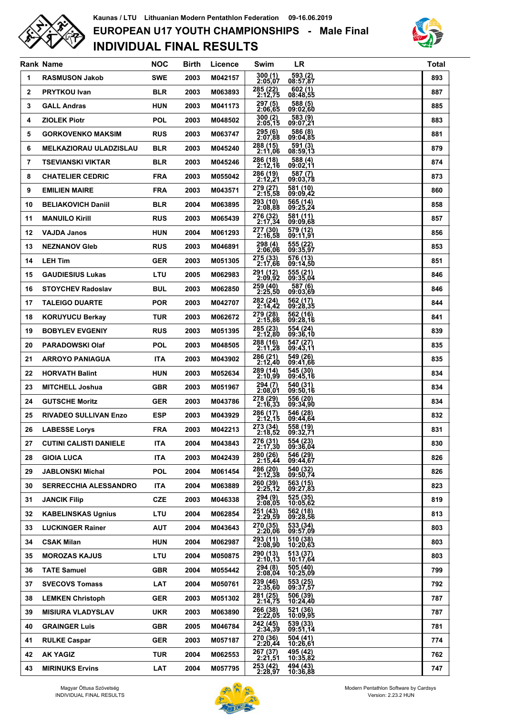

## **INDIVIDUAL FINAL RESULTS EUROPEAN U17 YOUTH CHAMPIONSHIPS - Male Final Kaunas / LTU Lithuanian Modern Pentathlon Federation 09-16.06.2019**



|              | <b>Rank Name</b>              | <b>NOC</b> | <b>Birth</b> | Licence | Swim                             | <b>LR</b>            | <b>Total</b> |
|--------------|-------------------------------|------------|--------------|---------|----------------------------------|----------------------|--------------|
| 1            | <b>RASMUSON Jakob</b>         | <b>SWE</b> | 2003         | M042157 | $300(1)$<br>$2:05,07$            | 593 (2)<br>08:57,87  | 893          |
| $\mathbf{2}$ | <b>PRYTKOU Ivan</b>           | <b>BLR</b> | 2003         | M063893 | 285 (22)<br>2:12,75              | 602(1)<br>08:48,55   | 887          |
| 3            | <b>GALL Andras</b>            | <b>HUN</b> | 2003         | M041173 | 297 (5)<br>2:06,65               | 588(5)<br>09:02,60   | 885          |
| 4            | <b>ZIOLEK Piotr</b>           | <b>POL</b> | 2003         | M048502 | 300 (2)<br>2:05,15               | 583 (9)<br>09:07,21  | 883          |
| 5            | <b>GORKOVENKO MAKSIM</b>      | <b>RUS</b> | 2003         | M063747 | 295 (6)<br>2:07,88               | 586 (8)<br>09:04,85  | 881          |
| 6            | <b>MELKAZIORAU ULADZISLAU</b> | <b>BLR</b> | 2003         | M045240 | 288 (15)<br>2:11,06              | 591 (3)<br>08:59,13  | 879          |
| 7            | <b>TSEVIANSKI VIKTAR</b>      | <b>BLR</b> | 2003         | M045246 | $\overline{286}$ (18)<br>2:12,16 | 588(4)<br>09:02,11   | 874          |
| 8            | <b>CHATELIER CEDRIC</b>       | <b>FRA</b> | 2003         | M055042 | 286 (19)<br>2:12,21              | 587(7)<br>09:03,78   | 873          |
| 9            | <b>EMILIEN MAIRE</b>          | <b>FRA</b> | 2003         | M043571 | 279 (27)<br>2:15,58              | 581 (10)<br>09:09.42 | 860          |
| 10           | <b>BELIAKOVICH Daniil</b>     | <b>BLR</b> | 2004         | M063895 | 293 (10)<br>2:08,88              | 565 (14)<br>09:25,24 | 858          |
| 11           | <b>MANUILO Kirill</b>         | <b>RUS</b> | 2003         | M065439 | 276 (32)<br>2:17,34              | 581 (11)<br>09:09.68 | 857          |
| 12           | <b>VAJDA Janos</b>            | <b>HUN</b> | 2004         | M061293 | 277 (30)<br>2:16.58              | 579 (12)<br>09:11,91 | 856          |
| 13           | <b>NEZNANOV Gleb</b>          | <b>RUS</b> | 2003         | M046891 | 298 (4)<br>2:06,06               | 555(22)<br>09:35,97  | 853          |
| 14           | <b>LEH Tim</b>                | <b>GER</b> | 2003         | M051305 | 275 (33)<br>2:17,66              | 576 (13)<br>09:14,50 | 851          |
| 15           | <b>GAUDIESIUS Lukas</b>       | LTU        | 2005         | M062983 | 291 (12)<br>2:09,92              | 555 (21)<br>09:35,04 | 846          |
| 16           | <b>STOYCHEV Radoslav</b>      | <b>BUL</b> | 2003         | M062850 | 259 (40)<br>2:25,50              | 587(6)<br>09:03,69   | 846          |
| 17           | <b>TALEIGO DUARTE</b>         | <b>POR</b> | 2003         | M042707 | 282 (24)<br>2:14,42              | 562 (17)<br>09:28,35 | 844          |
| 18           | <b>KORUYUCU Berkay</b>        | <b>TUR</b> | 2003         | M062672 | 279 (28)<br>2:15,86              | 562 (16)<br>09:28,16 | 841          |
| 19           | <b>BOBYLEV EVGENIY</b>        | <b>RUS</b> | 2003         | M051395 | 285 (23)<br>2:12,80              | 554 (24)<br>09:36,10 | 839          |
| 20           | <b>PARADOWSKI Olaf</b>        | <b>POL</b> | 2003         | M048505 | 288 (16)<br>2:11,28              | 547 (27)<br>09:43,11 | 835          |
| 21           | <b>ARROYO PANIAGUA</b>        | <b>ITA</b> | 2003         | M043902 | 286 (21)<br>2:12,40              | 549 (26)<br>09:41,66 | 835          |
| 22           | <b>HORVATH Balint</b>         | <b>HUN</b> | 2003         | M052634 | 289 (14)<br>2:10,99              | 545 (30)<br>09:45,16 | 834          |
| 23           | <b>MITCHELL Joshua</b>        | <b>GBR</b> | 2003         | M051967 | 294 (7)<br>2:08,01               | 540 (31)<br>09:50,16 | 834          |
| 24           | <b>GUTSCHE Moritz</b>         | <b>GER</b> | 2003         | M043786 | 278 (29)<br>2:16,33              | 556 (20)<br>09:34,90 | 834          |
| 25           | <b>RIVADEO SULLIVAN Enzo</b>  | <b>ESP</b> | 2003         | M043929 | 286 (17)<br>2:12.15              | 546 (28)<br>09:44,64 | 832          |
| 26           | <b>LABESSE Lorys</b>          | <b>FRA</b> | 2003         | M042213 | 273 (34)<br>2:18,52              | 558 (19)<br>09:32,71 | 831          |
| 27           | <b>CUTINI CALISTI DANIELE</b> | <b>ITA</b> | 2004         | M043843 | 276 (31)<br>2:17,30              | 554 (23)<br>09:36.04 | 830          |
| 28           | <b>GIOIA LUCA</b>             | <b>ITA</b> | 2003         | M042439 | 280 (26)<br>2:15,44              | 546 (29)<br>09:44.67 | 826          |
| 29           | <b>JABLONSKI Michal</b>       | <b>POL</b> | 2004         | M061454 | 286 (20)<br>2:12.38              | 540 (32)<br>09:50,74 | 826          |
| 30           | <b>SERRECCHIA ALESSANDRO</b>  | <b>ITA</b> | 2004         | M063889 | 260(39)<br>2:25,12               | 563 (15)<br>09:27,83 | 823          |
| 31           | <b>JANCIK Filip</b>           | <b>CZE</b> | 2003         | M046338 | 294 (9)<br>2:08,05               | 525 (35)<br>10:05,62 | 819          |
| 32           | <b>KABELINSKAS Ugnius</b>     | LTU        | 2004         | M062854 | 251 (43)<br>2:29,59              | 562 (18)<br>09:28,56 | 813          |
| 33           | <b>LUCKINGER Rainer</b>       | <b>AUT</b> | 2004         | M043643 | 270 (35)<br>2:20,06              | 533 (34)<br>09:57,09 | 803          |
| 34           | <b>CSAK Milan</b>             | <b>HUN</b> | 2004         | M062987 | 293 (11)<br>2:08,90              | 510 (38)<br>10:20,63 | 803          |
| 35           | <b>MOROZAS KAJUS</b>          | LTU        | 2004         | M050875 | 290 (13)<br>2:10,13              | 513 (37)<br>10:17,64 | 803          |
| 36           | <b>TATE Samuel</b>            | <b>GBR</b> | 2004         | M055442 | 294 (8)<br>2:08,04               | 505 (40)<br>10:25,09 | 799          |
| 37           | <b>SVECOVS Tomass</b>         | LAT        | 2004         | M050761 | 239 (46)<br>2:35,60              | 553 (25)<br>09:37,57 | 792          |
| 38           | <b>LEMKEN Christoph</b>       | <b>GER</b> | 2003         | M051302 | 281 (25)<br>2:14,75              | 506 (39)<br>10:24,40 | 787          |
| 39           | <b>MISIURA VLADYSLAV</b>      | <b>UKR</b> | 2003         | M063890 | 266 (38)<br>2:22,05              | 521 (36)<br>10:09,95 | 787          |
| 40           | <b>GRAINGER Luis</b>          | <b>GBR</b> | 2005         | M046784 | 242 (45)<br>2:34,39              | 539 (33)<br>09:51,14 | 781          |
| 41           | <b>RULKE Caspar</b>           | <b>GER</b> | 2003         | M057187 | 270 (36)<br>2:20,44              | 504 (41)<br>10:26,61 | 774          |
| 42           | <b>AK YAGIZ</b>               | TUR        | 2004         | M062553 | 267 (37)<br>2:21,51              | 495 (42)<br>10:35,82 | 762          |
| 43           | <b>MIRINUKS Ervins</b>        | LAT        | 2004         | M057795 | 253 (42)<br>2:28,97              | 494 (43)<br>10:36,88 | 747          |